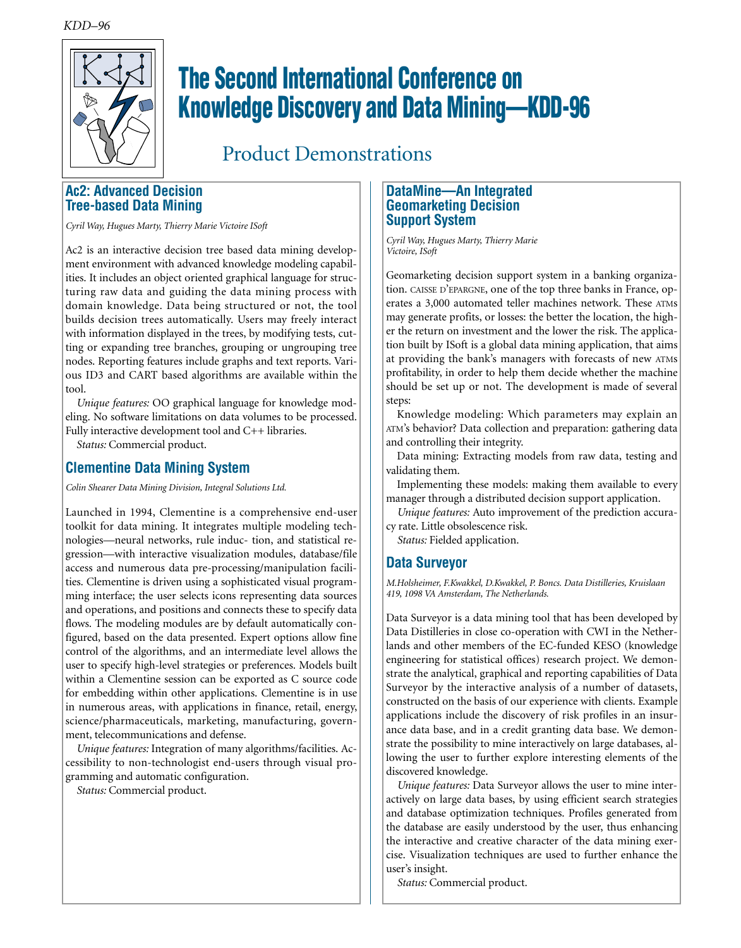

# **The Second International Conference on Knowledge Discovery and Data Mining—KDD-96**

Product Demonstrations

## **Ac2: Advanced Decision Tree-based Data Mining**

*Cyril Way, Hugues Marty, Thierry Marie Victoire ISoft*

Ac2 is an interactive decision tree based data mining development environment with advanced knowledge modeling capabilities. It includes an object oriented graphical language for structuring raw data and guiding the data mining process with domain knowledge. Data being structured or not, the tool builds decision trees automatically. Users may freely interact with information displayed in the trees, by modifying tests, cutting or expanding tree branches, grouping or ungrouping tree nodes. Reporting features include graphs and text reports. Various ID3 and CART based algorithms are available within the tool.

*Unique features:* OO graphical language for knowledge modeling. No software limitations on data volumes to be processed. Fully interactive development tool and C++ libraries.

*Status:* Commercial product.

## **Clementine Data Mining System**

*Colin Shearer Data Mining Division, Integral Solutions Ltd.*

Launched in 1994, Clementine is a comprehensive end-user toolkit for data mining. It integrates multiple modeling technologies—neural networks, rule induc- tion, and statistical regression—with interactive visualization modules, database/file access and numerous data pre-processing/manipulation facilities. Clementine is driven using a sophisticated visual programming interface; the user selects icons representing data sources and operations, and positions and connects these to specify data flows. The modeling modules are by default automatically configured, based on the data presented. Expert options allow fine control of the algorithms, and an intermediate level allows the user to specify high-level strategies or preferences. Models built within a Clementine session can be exported as C source code for embedding within other applications. Clementine is in use in numerous areas, with applications in finance, retail, energy, science/pharmaceuticals, marketing, manufacturing, government, telecommunications and defense.

*Unique features:* Integration of many algorithms/facilities. Accessibility to non-technologist end-users through visual programming and automatic configuration.

*Status:* Commercial product.

## **DataMine—An Integrated Geomarketing Decision Support System**

*Cyril Way, Hugues Marty, Thierry Marie Victoire, ISoft*

Geomarketing decision support system in a banking organization. CAISSE D'EPARGNE, one of the top three banks in France, operates a 3,000 automated teller machines network. These ATMs may generate profits, or losses: the better the location, the higher the return on investment and the lower the risk. The application built by ISoft is a global data mining application, that aims at providing the bank's managers with forecasts of new ATMs profitability, in order to help them decide whether the machine should be set up or not. The development is made of several steps:

Knowledge modeling: Which parameters may explain an ATM's behavior? Data collection and preparation: gathering data and controlling their integrity.

Data mining: Extracting models from raw data, testing and validating them.

Implementing these models: making them available to every manager through a distributed decision support application.

*Unique features:* Auto improvement of the prediction accuracy rate. Little obsolescence risk.

*Status:* Fielded application.

## **Data Surveyor**

*M.Holsheimer, F.Kwakkel, D.Kwakkel, P. Boncs. Data Distilleries, Kruislaan 419, 1098 VA Amsterdam, The Netherlands.*

Data Surveyor is a data mining tool that has been developed by Data Distilleries in close co-operation with CWI in the Netherlands and other members of the EC-funded KESO (knowledge engineering for statistical offices) research project. We demonstrate the analytical, graphical and reporting capabilities of Data Surveyor by the interactive analysis of a number of datasets, constructed on the basis of our experience with clients. Example applications include the discovery of risk profiles in an insurance data base, and in a credit granting data base. We demonstrate the possibility to mine interactively on large databases, allowing the user to further explore interesting elements of the discovered knowledge.

*Unique features:* Data Surveyor allows the user to mine interactively on large data bases, by using efficient search strategies and database optimization techniques. Profiles generated from the database are easily understood by the user, thus enhancing the interactive and creative character of the data mining exercise. Visualization techniques are used to further enhance the user's insight.

*Status:* Commercial product.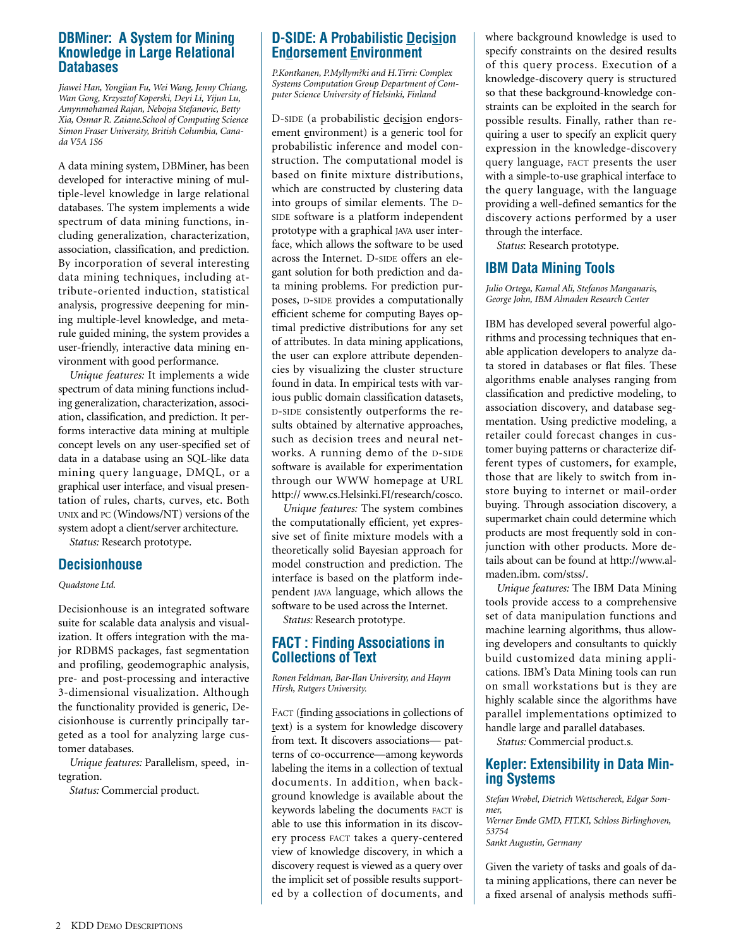## **DBMiner: A System for Mining Knowledge in Large Relational Databases**

*Jiawei Han, Yongjian Fu, Wei Wang, Jenny Chiang, Wan Gong, Krzysztof Koperski, Deyi Li, Yijun Lu, Amynmohamed Rajan, Nebojsa Stefanovic, Betty Xia, Osmar R. Zaiane.School of Computing Science Simon Fraser University, British Columbia, Canada V5A 1S6* 

A data mining system, DBMiner, has been developed for interactive mining of multiple-level knowledge in large relational databases. The system implements a wide spectrum of data mining functions, including generalization, characterization, association, classification, and prediction. By incorporation of several interesting data mining techniques, including attribute-oriented induction, statistical analysis, progressive deepening for mining multiple-level knowledge, and metarule guided mining, the system provides a user-friendly, interactive data mining environment with good performance.

*Unique features:* It implements a wide spectrum of data mining functions including generalization, characterization, association, classification, and prediction. It performs interactive data mining at multiple concept levels on any user-specified set of data in a database using an SQL-like data mining query language, DMQL, or a graphical user interface, and visual presentation of rules, charts, curves, etc. Both UNIX and PC (Windows/NT) versions of the system adopt a client/server architecture.

*Status:* Research prototype.

#### **Decisionhouse**

#### *Quadstone Ltd.*

Decisionhouse is an integrated software suite for scalable data analysis and visualization. It offers integration with the major RDBMS packages, fast segmentation and profiling, geodemographic analysis, pre- and post-processing and interactive 3-dimensional visualization. Although the functionality provided is generic, Decisionhouse is currently principally targeted as a tool for analyzing large customer databases.

*Unique features:* Parallelism, speed, integration.

*Status:* Commercial product.

## **D-SIDE: A Probabilistic Decision Endorsement Environment**

*P.Kontkanen, P.Myllym?ki and H.Tirri: Complex Systems Computation Group Department of Computer Science University of Helsinki, Finland*

D-SIDE (a probabilistic decision endorsement environment) is a generic tool for probabilistic inference and model construction. The computational model is based on finite mixture distributions, which are constructed by clustering data into groups of similar elements. The D-SIDE software is a platform independent prototype with a graphical JAVA user interface, which allows the software to be used across the Internet. D-SIDE offers an elegant solution for both prediction and data mining problems. For prediction purposes, D-SIDE provides a computationally efficient scheme for computing Bayes optimal predictive distributions for any set of attributes. In data mining applications, the user can explore attribute dependencies by visualizing the cluster structure found in data. In empirical tests with various public domain classification datasets, D-SIDE consistently outperforms the results obtained by alternative approaches, such as decision trees and neural networks. A running demo of the D-SIDE software is available for experimentation through our WWW homepage at URL http:// www.cs.Helsinki.FI/research/cosco.

*Unique features:* The system combines the computationally efficient, yet expressive set of finite mixture models with a theoretically solid Bayesian approach for model construction and prediction. The interface is based on the platform independent JAVA language, which allows the software to be used across the Internet.

*Status:* Research prototype.

## **FACT : Finding Associations in Collections of Text**

*Ronen Feldman, Bar-Ilan University, and Haym Hirsh, Rutgers University.*

FACT (finding associations in collections of text) is a system for knowledge discovery from text. It discovers associations— patterns of co-occurrence—among keywords labeling the items in a collection of textual documents. In addition, when background knowledge is available about the keywords labeling the documents FACT is able to use this information in its discovery process FACT takes a query-centered view of knowledge discovery, in which a discovery request is viewed as a query over the implicit set of possible results supported by a collection of documents, and where background knowledge is used to specify constraints on the desired results of this query process. Execution of a knowledge-discovery query is structured so that these background-knowledge constraints can be exploited in the search for possible results. Finally, rather than requiring a user to specify an explicit query expression in the knowledge-discovery query language, FACT presents the user with a simple-to-use graphical interface to the query language, with the language providing a well-defined semantics for the discovery actions performed by a user through the interface.

*Status*: Research prototype.

## **IBM Data Mining Tools**

*Julio Ortega, Kamal Ali, Stefanos Manganaris, George John, IBM Almaden Research Center*

IBM has developed several powerful algorithms and processing techniques that enable application developers to analyze data stored in databases or flat files. These algorithms enable analyses ranging from classification and predictive modeling, to association discovery, and database segmentation. Using predictive modeling, a retailer could forecast changes in customer buying patterns or characterize different types of customers, for example, those that are likely to switch from instore buying to internet or mail-order buying. Through association discovery, a supermarket chain could determine which products are most frequently sold in conjunction with other products. More details about can be found at http://www.almaden.ibm. com/stss/.

*Unique features:* The IBM Data Mining tools provide access to a comprehensive set of data manipulation functions and machine learning algorithms, thus allowing developers and consultants to quickly build customized data mining applications. IBM's Data Mining tools can run on small workstations but is they are highly scalable since the algorithms have parallel implementations optimized to handle large and parallel databases.

*Status:* Commercial product.s.

## **Kepler: Extensibility in Data Mining Systems**

*Stefan Wrobel, Dietrich Wettschereck, Edgar Sommer, Werner Emde GMD, FIT.KI, Schloss Birlinghoven, 53754 Sankt Augustin, Germany*

Given the variety of tasks and goals of data mining applications, there can never be a fixed arsenal of analysis methods suffi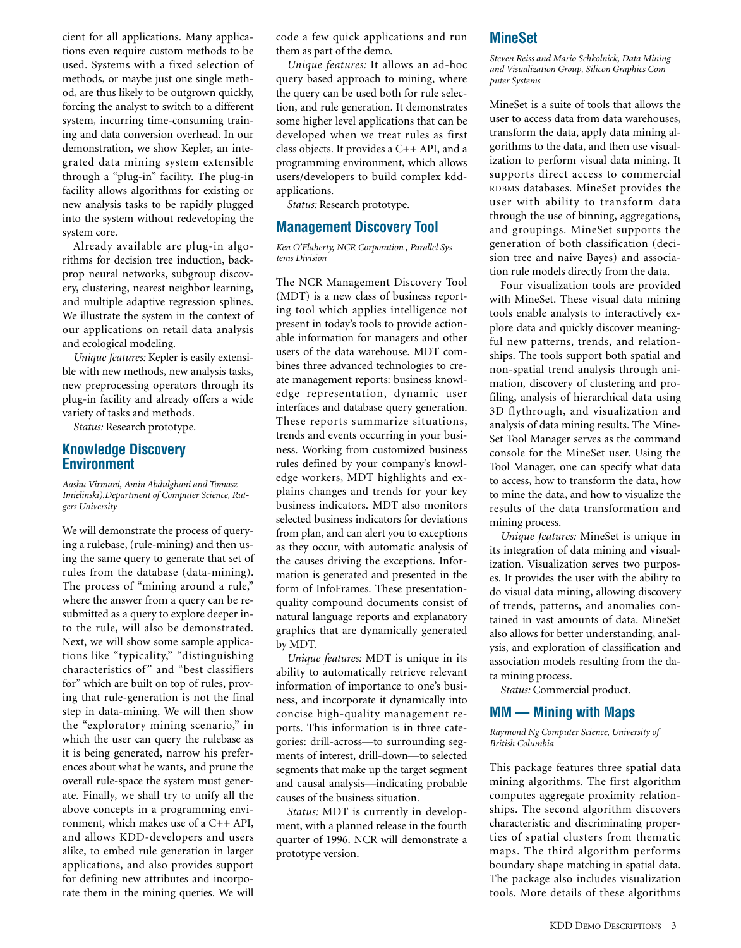cient for all applications. Many applications even require custom methods to be used. Systems with a fixed selection of methods, or maybe just one single method, are thus likely to be outgrown quickly, forcing the analyst to switch to a different system, incurring time-consuming training and data conversion overhead. In our demonstration, we show Kepler, an integrated data mining system extensible through a "plug-in" facility. The plug-in facility allows algorithms for existing or new analysis tasks to be rapidly plugged into the system without redeveloping the system core.

Already available are plug-in algorithms for decision tree induction, backprop neural networks, subgroup discovery, clustering, nearest neighbor learning, and multiple adaptive regression splines. We illustrate the system in the context of our applications on retail data analysis and ecological modeling.

*Unique features:* Kepler is easily extensible with new methods, new analysis tasks, new preprocessing operators through its plug-in facility and already offers a wide variety of tasks and methods.

*Status:* Research prototype.

#### **Knowledge Discovery Environment**

*Aashu Virmani, Amin Abdulghani and Tomasz Imielinski).Department of Computer Science, Rutgers University*

We will demonstrate the process of querying a rulebase, (rule-mining) and then using the same query to generate that set of rules from the database (data-mining). The process of "mining around a rule," where the answer from a query can be resubmitted as a query to explore deeper into the rule, will also be demonstrated. Next, we will show some sample applications like "typicality," "distinguishing characteristics of" and "best classifiers for" which are built on top of rules, proving that rule-generation is not the final step in data-mining. We will then show the "exploratory mining scenario," in which the user can query the rulebase as it is being generated, narrow his preferences about what he wants, and prune the overall rule-space the system must generate. Finally, we shall try to unify all the above concepts in a programming environment, which makes use of a C++ API, and allows KDD-developers and users alike, to embed rule generation in larger applications, and also provides support for defining new attributes and incorporate them in the mining queries. We will

code a few quick applications and run them as part of the demo.

*Unique features:* It allows an ad-hoc query based approach to mining, where the query can be used both for rule selection, and rule generation. It demonstrates some higher level applications that can be developed when we treat rules as first class objects. It provides a C++ API, and a programming environment, which allows users/developers to build complex kddapplications.

*Status:* Research prototype.

## **Management Discovery Tool**

*Ken O'Flaherty, NCR Corporation , Parallel Systems Division*

The NCR Management Discovery Tool (MDT) is a new class of business reporting tool which applies intelligence not present in today's tools to provide actionable information for managers and other users of the data warehouse. MDT combines three advanced technologies to create management reports: business knowledge representation, dynamic user interfaces and database query generation. These reports summarize situations, trends and events occurring in your business. Working from customized business rules defined by your company's knowledge workers, MDT highlights and explains changes and trends for your key business indicators. MDT also monitors selected business indicators for deviations from plan, and can alert you to exceptions as they occur, with automatic analysis of the causes driving the exceptions. Information is generated and presented in the form of InfoFrames. These presentationquality compound documents consist of natural language reports and explanatory graphics that are dynamically generated by MDT.

*Unique features:* MDT is unique in its ability to automatically retrieve relevant information of importance to one's business, and incorporate it dynamically into concise high-quality management reports. This information is in three categories: drill-across—to surrounding segments of interest, drill-down—to selected segments that make up the target segment and causal analysis—indicating probable causes of the business situation.

*Status:* MDT is currently in development, with a planned release in the fourth quarter of 1996. NCR will demonstrate a prototype version.

## **MineSet**

*Steven Reiss and Mario Schkolnick, Data Mining and Visualization Group, Silicon Graphics Computer Systems*

MineSet is a suite of tools that allows the user to access data from data warehouses, transform the data, apply data mining algorithms to the data, and then use visualization to perform visual data mining. It supports direct access to commercial RDBMS databases. MineSet provides the user with ability to transform data through the use of binning, aggregations, and groupings. MineSet supports the generation of both classification (decision tree and naive Bayes) and association rule models directly from the data.

Four visualization tools are provided with MineSet. These visual data mining tools enable analysts to interactively explore data and quickly discover meaningful new patterns, trends, and relationships. The tools support both spatial and non-spatial trend analysis through animation, discovery of clustering and profiling, analysis of hierarchical data using 3D flythrough, and visualization and analysis of data mining results. The Mine-Set Tool Manager serves as the command console for the MineSet user. Using the Tool Manager, one can specify what data to access, how to transform the data, how to mine the data, and how to visualize the results of the data transformation and mining process.

*Unique features:* MineSet is unique in its integration of data mining and visualization. Visualization serves two purposes. It provides the user with the ability to do visual data mining, allowing discovery of trends, patterns, and anomalies contained in vast amounts of data. MineSet also allows for better understanding, analysis, and exploration of classification and association models resulting from the data mining process.

*Status:* Commercial product.

#### **MM — Mining with Maps**

*Raymond Ng Computer Science, University of British Columbia*

This package features three spatial data mining algorithms. The first algorithm computes aggregate proximity relationships. The second algorithm discovers characteristic and discriminating properties of spatial clusters from thematic maps. The third algorithm performs boundary shape matching in spatial data. The package also includes visualization tools. More details of these algorithms